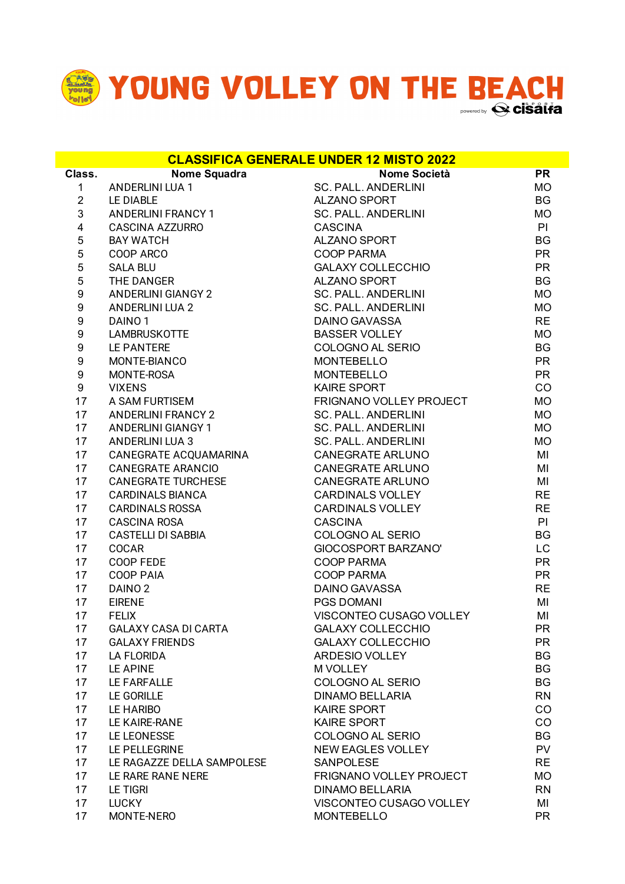

**Class. Nome Squadra Nome Società PR** 1 ANDERLINI LUA 1 SC. PALL. ANDERLINI MO 2 LE DIABLE ALZANO SPORT BG 3 ANDERLINI FRANCY 1 SC. PALL. ANDERLINI MO 4 CASCINA AZZURRO CASCINA PI 5 BAY WATCH BG ALZANO SPORT 5 COOP ARCO COOP PARMA PR 5 SALA BLU GALAXY COLLECCHIO PR 5 THE DANGER ALZANO SPORT BG 9 ANDERLINI GIANGY 2 SC. PALL. ANDERLINI MO 9 ANDERLINI LUA 2 SC. PALL. ANDERLINI MO 9 DAINO 1 DAINO GAVASSA RE 9 LAMBRUSKOTTE BASSER VOLLEY MO 9 LE PANTERE COLOGNO AL SERIO BG 9 MONTE-BIANCO MONTEBELLO PR 9 MONTE-ROSA MONTEBELLO PR 9 VIXENS KAIRE SPORT CO 17 A SAM FURTISEM FRIGNANO VOLLEY PROJECT MO 17 ANDERLINI FRANCY 2 SC. PALL. ANDERLINI MO 17 ANDERLINI GIANGY 1 SC. PALL. ANDERLINI NO 17 ANDERLINI LUA 3 SC. PALL. ANDERLINI MO 17 CANEGRATE ACQUAMARINA CANEGRATE ARLUNO MI 17 CANEGRATE ARANCIO CANEGRATE ARLUNO MI 17 CANEGRATE TURCHESE CANEGRATE ARLUNO 17 CARDINALS BIANCA CARDINALS VOLLEY RE 17 CARDINALS ROSSA CARDINALS VOLLEY RE 17 CASCINA ROSA CASCINA PI 17 CASTELLI DI SABBIA COLOGNO AL SERIO BG 17 COCAR GIOCOSPORT BARZANO' LC 17 COOP FEDE COOP PARMA 17 COOP PAIA COOP PARMA PR 17 DAINO 2 DAINO GAVASSA RE 17 EIRENE PGS DOMANI MI 17 FELIX VISCONTEO CUSAGO VOLLEY MI 17 GALAXY CASA DI CARTA GALAXY COLLECCHIO PR 17 GALAXY FRIENDS GALAXY COLLECCHIO PR 17 LA FLORIDA **BG ARDESIO VOLLEY BG** 17 LE APINE M VOLLEY BG 17 LE FARFALLE COLOGNO AL SERIO BG 17 LE GORILLE DINAMO BELLARIA RN 17 LE HARIBO KAIRE SPORT CO 17 LE KAIRE-RANE CO 17 LE LEONESSE COLOGNO AL SERIO BG 17 LE PELLEGRINE NEW EAGLES VOLLEY PV 17 LE RAGAZZE DELLA SAMPOLESE SANPOLESE SARIES SAND RE 17 LE RARE RANE NERE FRIGNANO VOLLEY PROJECT MO 17 LE TIGRI DINAMO BELLARIA RN 17 LUCKY VISCONTEO CUSAGO VOLLEY MI 17 MONTE-NERO MONTEBELLO PR **CLASSIFICA GENERALE UNDER 12 MISTO 2022**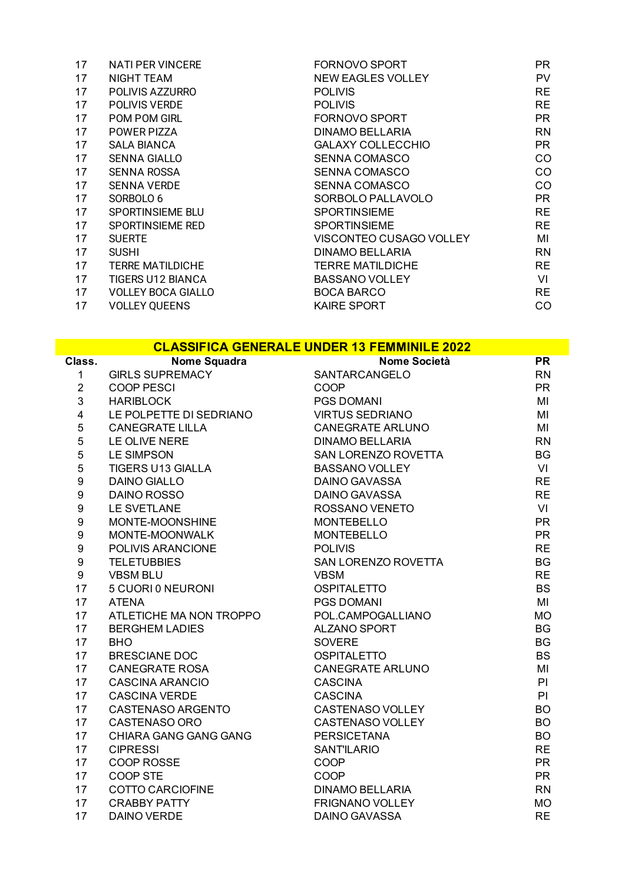| 17 | <b>NATI PER VINCERE</b>   | <b>FORNOVO SPORT</b>     | PR.       |
|----|---------------------------|--------------------------|-----------|
| 17 | NIGHT TEAM                | NEW EAGLES VOLLEY        | <b>PV</b> |
| 17 | POLIVIS AZZURRO           | <b>POLIVIS</b>           | <b>RE</b> |
| 17 | POLIVIS VERDE             | <b>POLIVIS</b>           | <b>RE</b> |
| 17 | POM POM GIRL              | FORNOVO SPORT            | <b>PR</b> |
| 17 | POWER PIZZA               | DINAMO BELLARIA          | <b>RN</b> |
| 17 | <b>SALA BIANCA</b>        | <b>GALAXY COLLECCHIO</b> | PR        |
| 17 | <b>SENNA GIALLO</b>       | <b>SENNA COMASCO</b>     | <b>CO</b> |
| 17 | SENNA ROSSA               | <b>SENNA COMASCO</b>     | CO        |
| 17 | <b>SENNA VERDE</b>        | <b>SENNA COMASCO</b>     | CO        |
| 17 | SORBOLO 6                 | SORBOLO PALLAVOLO        | <b>PR</b> |
| 17 | SPORTINSIEME BLU          | <b>SPORTINSIEME</b>      | <b>RE</b> |
| 17 | SPORTINSIEME RED          | <b>SPORTINSIEME</b>      | <b>RE</b> |
| 17 | <b>SUERTE</b>             | VISCONTEO CUSAGO VOLLEY  | MI        |
| 17 | <b>SUSHI</b>              | DINAMO BELLARIA          | <b>RN</b> |
| 17 | <b>TERRE MATILDICHE</b>   | <b>TERRE MATILDICHE</b>  | <b>RE</b> |
| 17 | <b>TIGERS U12 BIANCA</b>  | <b>BASSANO VOLLEY</b>    | VI        |
| 17 | <b>VOLLEY BOCA GIALLO</b> | <b>BOCA BARCO</b>        | <b>RE</b> |
| 17 | <b>VOLLEY QUEENS</b>      | <b>KAIRE SPORT</b>       | CO        |

|                  |                                               | <b>CLASSIFICA GENERALE UNDER 13 FEMMINILE 2022</b> |           |
|------------------|-----------------------------------------------|----------------------------------------------------|-----------|
| Class.           | Nome Squadra<br>GIRLS SUPREMACY<br>COOP PESCI | <b>Nome Società</b>                                | PR        |
| $\mathbf{1}$     |                                               | SANTARCANGELO                                      | <b>RN</b> |
| $\overline{2}$   |                                               | COOP                                               | <b>PR</b> |
| 3                | <b>HARIBLOCK</b>                              | <b>PGS DOMANI</b>                                  | MI        |
| $\overline{4}$   | LE POLPETTE DI SEDRIANO                       | <b>VIRTUS SEDRIANO</b>                             | MI        |
| 5                | <b>CANEGRATE LILLA</b>                        | <b>CANEGRATE ARLUNO</b>                            | MI        |
| 5                | LE OLIVE NERE                                 | <b>DINAMO BELLARIA</b>                             | <b>RN</b> |
| 5                | <b>LE SIMPSON</b>                             | SAN LORENZO ROVETTA                                | <b>BG</b> |
| 5                | <b>TIGERS U13 GIALLA</b>                      | <b>BASSANO VOLLEY</b>                              | VI        |
| $\boldsymbol{9}$ | <b>DAINO GIALLO</b>                           | <b>DAINO GAVASSA</b>                               | <b>RE</b> |
| $\boldsymbol{9}$ | <b>DAINO ROSSO</b>                            | DAINO GAVASSA                                      | <b>RE</b> |
| $\boldsymbol{9}$ | <b>LE SVETLANE</b>                            | ROSSANO VENETO                                     | VI        |
| $\boldsymbol{9}$ | MONTE-MOONSHINE                               | <b>MONTEBELLO</b>                                  | <b>PR</b> |
| $\boldsymbol{9}$ | MONTE-MOONWALK                                | <b>MONTEBELLO</b>                                  | <b>PR</b> |
| $\boldsymbol{9}$ | POLIVIS ARANCIONE                             | <b>POLIVIS</b>                                     | <b>RE</b> |
| 9                | <b>TELETUBBIES</b>                            | SAN LORENZO ROVETTA                                | <b>BG</b> |
| 9                | <b>VBSM BLU</b>                               | <b>VBSM</b>                                        | <b>RE</b> |
| 17               | 5 CUORI 0 NEURONI                             | <b>OSPITALETTO</b>                                 | <b>BS</b> |
| 17               | <b>ATENA</b>                                  | PGS DOMANI                                         | MI        |
| 17               | ATLETICHE MA NON TROPPO                       | POL.CAMPOGALLIANO                                  | <b>MO</b> |
| 17               | <b>BERGHEM LADIES</b>                         | ALZANO SPORT                                       | <b>BG</b> |
| 17               | <b>BHO</b>                                    | <b>SOVERE</b>                                      | <b>BG</b> |
| 17               | <b>BRESCIANE DOC</b>                          | <b>OSPITALETTO</b>                                 | <b>BS</b> |
| 17               | <b>CANEGRATE ROSA</b>                         | <b>CANEGRATE ARLUNO</b>                            | MI        |
| 17               | <b>CASCINA ARANCIO</b>                        | <b>CASCINA</b>                                     | PI        |
| 17               | <b>CASCINA VERDE</b>                          | <b>CASCINA</b>                                     | PI        |
| 17               | CASTENASO ARGENTO                             | <b>CASTENASO VOLLEY</b>                            | <b>BO</b> |
| 17               | <b>CASTENASO ORO</b>                          | <b>CASTENASO VOLLEY</b>                            | <b>BO</b> |
| 17               | CHIARA GANG GANG GANG                         | <b>PERSICETANA</b>                                 | <b>BO</b> |
| 17               | <b>CIPRESSI</b>                               | <b>SANTILARIO</b>                                  | <b>RE</b> |
| 17               | COOP ROSSE                                    | COOP                                               | <b>PR</b> |
| 17               | COOP STE                                      | COOP                                               | <b>PR</b> |
| 17               | <b>COTTO CARCIOFINE</b>                       | <b>DINAMO BELLARIA</b>                             | <b>RN</b> |
| 17               | <b>CRABBY PATTY</b>                           | <b>FRIGNANO VOLLEY</b>                             | <b>MO</b> |
| 17               | <b>DAINO VERDE</b>                            | <b>DAINO GAVASSA</b>                               | <b>RE</b> |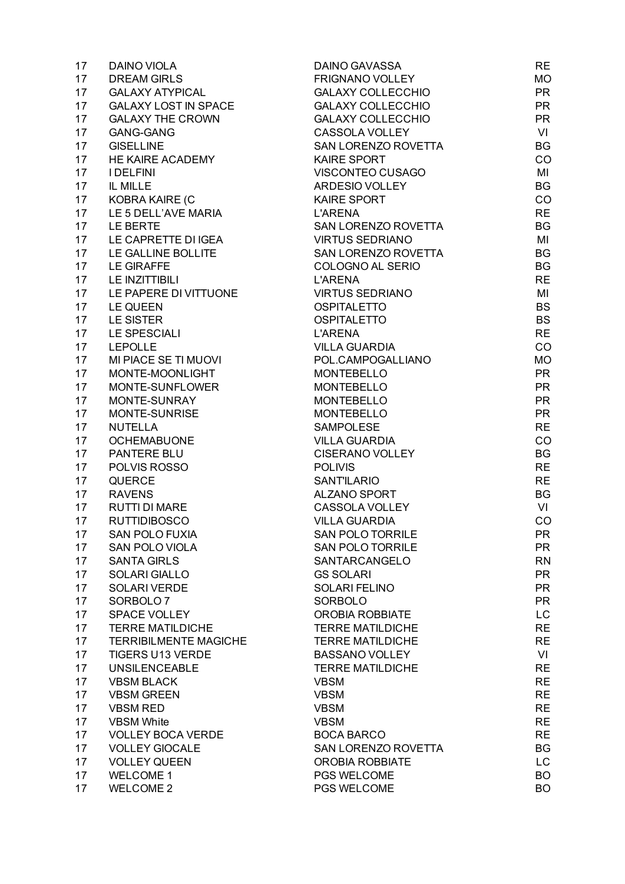| 17              | <b>DAINO VIOLA</b>           | <b>DAINO GAVASSA</b>     | <b>RE</b> |
|-----------------|------------------------------|--------------------------|-----------|
| 17              | <b>DREAM GIRLS</b>           | <b>FRIGNANO VOLLEY</b>   | <b>MO</b> |
| 17              | <b>GALAXY ATYPICAL</b>       | <b>GALAXY COLLECCHIO</b> | <b>PR</b> |
| 17              | <b>GALAXY LOST IN SPACE</b>  | <b>GALAXY COLLECCHIO</b> | <b>PR</b> |
| 17              | <b>GALAXY THE CROWN</b>      | <b>GALAXY COLLECCHIO</b> | <b>PR</b> |
| 17              | <b>GANG-GANG</b>             | CASSOLA VOLLEY           | VI        |
| 17              | <b>GISELLINE</b>             | SAN LORENZO ROVETTA      | <b>BG</b> |
| 17              | HE KAIRE ACADEMY             | KAIRE SPORT              | CO        |
|                 |                              |                          |           |
| 17              | <b>I DELFINI</b>             | VISCONTEO CUSAGO         | MI        |
| 17              | IL MILLE                     | ARDESIO VOLLEY           | <b>BG</b> |
| 17 <sub>1</sub> | KOBRA KAIRE (C               | <b>KAIRE SPORT</b>       | CO        |
| 17              | LE 5 DELL'AVE MARIA          | <b>L'ARENA</b>           | <b>RE</b> |
| 17              | LE BERTE                     | SAN LORENZO ROVETTA      | <b>BG</b> |
| 17              | LE CAPRETTE DI IGEA          | <b>VIRTUS SEDRIANO</b>   | MI        |
| 17 <sub>2</sub> | LE GALLINE BOLLITE           | SAN LORENZO ROVETTA      | <b>BG</b> |
| 17              | <b>LE GIRAFFE</b>            | COLOGNO AL SERIO         | BG        |
| 17              | LE INZITTIBILI               | <b>L'ARENA</b>           | <b>RE</b> |
| 17              | LE PAPERE DI VITTUONE        | <b>VIRTUS SEDRIANO</b>   | MI        |
| 17              | LE QUEEN                     | <b>OSPITALETTO</b>       | <b>BS</b> |
| 17              | <b>LE SISTER</b>             | <b>OSPITALETTO</b>       | <b>BS</b> |
| 17              | LE SPESCIALI                 | <b>L'ARENA</b>           | <b>RE</b> |
| 17              | <b>LEPOLLE</b>               | <b>VILLA GUARDIA</b>     | CO        |
| 17              | MI PIACE SE TI MUOVI         | POL.CAMPOGALLIANO        | <b>MO</b> |
| 17              | MONTE-MOONLIGHT              | <b>MONTEBELLO</b>        | <b>PR</b> |
| 17              | MONTE-SUNFLOWER              | <b>MONTEBELLO</b>        | <b>PR</b> |
| 17              | MONTE-SUNRAY                 | <b>MONTEBELLO</b>        | <b>PR</b> |
| 17              | MONTE-SUNRISE                | <b>MONTEBELLO</b>        | <b>PR</b> |
|                 |                              |                          |           |
| 17              | <b>NUTELLA</b>               | <b>SAMPOLESE</b>         | <b>RE</b> |
| 17              | <b>OCHEMABUONE</b>           | <b>VILLA GUARDIA</b>     | CO        |
| 17              | PANTERE BLU                  | <b>CISERANO VOLLEY</b>   | <b>BG</b> |
| 17              | POLVIS ROSSO                 | <b>POLIVIS</b>           | <b>RE</b> |
| 17              | <b>QUERCE</b>                | <b>SANT'ILARIO</b>       | <b>RE</b> |
| 17              | <b>RAVENS</b>                | <b>ALZANO SPORT</b>      | <b>BG</b> |
| 17              | <b>RUTTI DI MARE</b>         | CASSOLA VOLLEY           | VI        |
| 17              | <b>RUTTIDIBOSCO</b>          | <b>VILLA GUARDIA</b>     | CO        |
| 17              | SAN POLO FUXIA               | SAN POLO TORRILE         | PR        |
| 17              | <b>SAN POLO VIOLA</b>        | <b>SAN POLO TORRILE</b>  | <b>PR</b> |
| 17              | <b>SANTA GIRLS</b>           | SANTARCANGELO            | <b>RN</b> |
| 17              | <b>SOLARI GIALLO</b>         | <b>GS SOLARI</b>         | <b>PR</b> |
| 17              | <b>SOLARI VERDE</b>          | <b>SOLARI FELINO</b>     | <b>PR</b> |
| 17              | SORBOLO <sub>7</sub>         | <b>SORBOLO</b>           | <b>PR</b> |
| 17              | <b>SPACE VOLLEY</b>          | <b>OROBIA ROBBIATE</b>   | LC.       |
| 17              | <b>TERRE MATILDICHE</b>      | <b>TERRE MATILDICHE</b>  | <b>RE</b> |
| 17              | <b>TERRIBILMENTE MAGICHE</b> | <b>TERRE MATILDICHE</b>  | <b>RE</b> |
| 17              | <b>TIGERS U13 VERDE</b>      | <b>BASSANO VOLLEY</b>    | VI        |
| 17              | <b>UNSILENCEABLE</b>         | <b>TERRE MATILDICHE</b>  | <b>RE</b> |
| 17              | <b>VBSM BLACK</b>            | <b>VBSM</b>              | <b>RE</b> |
| 17              | <b>VBSM GREEN</b>            |                          |           |
|                 |                              | <b>VBSM</b>              | <b>RE</b> |
| 17              | <b>VBSM RED</b>              | <b>VBSM</b>              | <b>RE</b> |
| 17              | <b>VBSM White</b>            | <b>VBSM</b>              | <b>RE</b> |
| 17              | <b>VOLLEY BOCA VERDE</b>     | <b>BOCA BARCO</b>        | <b>RE</b> |
| 17              | <b>VOLLEY GIOCALE</b>        | SAN LORENZO ROVETTA      | BG        |
| 17              | <b>VOLLEY QUEEN</b>          | <b>OROBIA ROBBIATE</b>   | LC.       |
| 17              | <b>WELCOME 1</b>             | PGS WELCOME              | <b>BO</b> |
| 17              | <b>WELCOME 2</b>             | PGS WELCOME              | <b>BO</b> |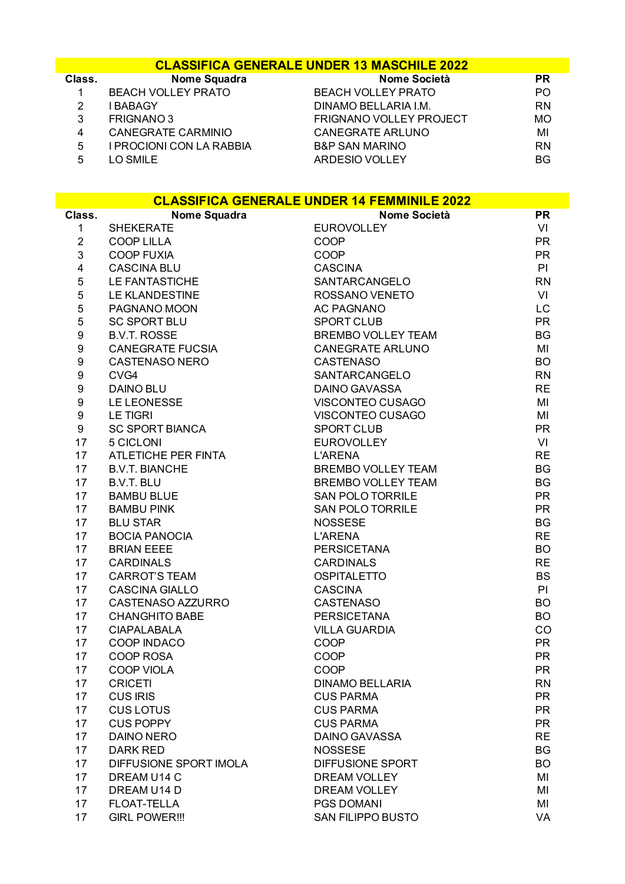## **CLASSIFICA GENERALE UNDER 13 MASCHILE 2022**

| Class. | <b>Nome Squadra</b>       | Nome Società                   | <b>PR</b> |
|--------|---------------------------|--------------------------------|-----------|
|        | <b>BEACH VOLLEY PRATO</b> | <b>BEACH VOLLEY PRATO</b>      | PO.       |
|        | I BABAGY                  | DINAMO BELLARIA I.M.           | <b>RN</b> |
| 3      | FRIGNANO 3                | <b>FRIGNANO VOLLEY PROJECT</b> | <b>MO</b> |
| 4      | CANEGRATE CARMINIO        | <b>CANEGRATE ARLUNO</b>        | MI        |
| 5      | I PROCIONI CON LA RABBIA  | <b>B&amp;P SAN MARINO</b>      | <b>RN</b> |
| 5      | LO SMILE                  | <b>ARDESIO VOLLEY</b>          | BG.       |

| <b>CLASSIFICA GENERALE UNDER 14 FEMMINILE 2022</b> |                                      |                                  |                        |
|----------------------------------------------------|--------------------------------------|----------------------------------|------------------------|
| Class.                                             | Nome Squadra                         | Nome Società                     | <b>PR</b>              |
| $\mathbf{1}$                                       | <b>SHEKERATE</b>                     | <b>EUROVOLLEY</b>                | VI                     |
| $\overline{2}$                                     | <b>COOP LILLA</b>                    | COOP                             | <b>PR</b>              |
| 3                                                  | <b>COOP FUXIA</b>                    | COOP                             | <b>PR</b>              |
| $\overline{\mathbf{4}}$                            | <b>CASCINA BLU</b>                   | <b>CASCINA</b>                   | PI                     |
| 5                                                  | <b>LE FANTASTICHE</b>                | SANTARCANGELO                    | <b>RN</b>              |
| 5                                                  | <b>LE KLANDESTINE</b>                | ROSSANO VENETO                   | VI                     |
| 5                                                  | PAGNANO MOON                         | <b>AC PAGNANO</b>                | LC                     |
| 5                                                  | <b>SC SPORT BLU</b>                  | <b>SPORT CLUB</b>                | <b>PR</b>              |
| $\boldsymbol{9}$                                   | <b>B.V.T. ROSSE</b>                  | <b>BREMBO VOLLEY TEAM</b>        | <b>BG</b>              |
| $\boldsymbol{9}$                                   | <b>CANEGRATE FUCSIA</b>              | <b>CANEGRATE ARLUNO</b>          | MI                     |
| $\boldsymbol{9}$                                   | <b>CASTENASO NERO</b>                | <b>CASTENASO</b>                 | <b>BO</b>              |
| $\boldsymbol{9}$                                   | CVG4                                 | SANTARCANGELO                    | <b>RN</b>              |
| $\boldsymbol{9}$                                   | <b>DAINO BLU</b>                     | <b>DAINO GAVASSA</b>             | <b>RE</b>              |
| 9                                                  | LE LEONESSE                          | VISCONTEO CUSAGO                 | MI                     |
| 9                                                  | <b>LE TIGRI</b>                      | VISCONTEO CUSAGO                 | MI                     |
| 9                                                  | <b>SC SPORT BIANCA</b>               | <b>SPORT CLUB</b>                | <b>PR</b>              |
| 17                                                 | 5 CICLONI                            | <b>EUROVOLLEY</b>                | VI                     |
| 17                                                 | ATLETICHE PER FINTA                  | <b>L'ARENA</b>                   | <b>RE</b>              |
| 17                                                 | <b>B.V.T. BIANCHE</b>                | <b>BREMBO VOLLEY TEAM</b>        | <b>BG</b>              |
| 17                                                 | <b>B.V.T. BLU</b>                    | <b>BREMBO VOLLEY TEAM</b>        | <b>BG</b>              |
| 17                                                 | <b>BAMBU BLUE</b>                    | <b>SAN POLO TORRILE</b>          | <b>PR</b>              |
| 17<br>17                                           | <b>BAMBU PINK</b><br><b>BLU STAR</b> | <b>SAN POLO TORRILE</b>          | <b>PR</b><br><b>BG</b> |
| 17                                                 | <b>BOCIA PANOCIA</b>                 | <b>NOSSESE</b><br><b>L'ARENA</b> | <b>RE</b>              |
| 17                                                 | <b>BRIAN EEEE</b>                    | <b>PERSICETANA</b>               | <b>BO</b>              |
| 17                                                 | <b>CARDINALS</b>                     | <b>CARDINALS</b>                 | <b>RE</b>              |
| 17                                                 | <b>CARROT'S TEAM</b>                 | <b>OSPITALETTO</b>               | <b>BS</b>              |
| 17                                                 | <b>CASCINA GIALLO</b>                | <b>CASCINA</b>                   | PI                     |
| 17                                                 | CASTENASO AZZURRO                    | <b>CASTENASO</b>                 | <b>BO</b>              |
| 17                                                 | <b>CHANGHITO BABE</b>                | <b>PERSICETANA</b>               | <b>BO</b>              |
| 17                                                 | <b>CIAPALABALA</b>                   | <b>VILLA GUARDIA</b>             | CO                     |
| 17                                                 | COOP INDACO                          | COOP                             | <b>PR</b>              |
| 17                                                 | <b>COOP ROSA</b>                     | COOP                             | <b>PR</b>              |
| 17                                                 | <b>COOP VIOLA</b>                    | COOP                             | <b>PR</b>              |
| 17                                                 | <b>CRICETI</b>                       | DINAMO BELLARIA                  | <b>RN</b>              |
| 17                                                 | <b>CUS IRIS</b>                      | <b>CUS PARMA</b>                 | <b>PR</b>              |
| 17                                                 | <b>CUS LOTUS</b>                     | <b>CUS PARMA</b>                 | <b>PR</b>              |
| 17                                                 | <b>CUS POPPY</b>                     | <b>CUS PARMA</b>                 | <b>PR</b>              |
| 17                                                 | <b>DAINO NERO</b>                    | <b>DAINO GAVASSA</b>             | <b>RE</b>              |
| 17                                                 | <b>DARK RED</b>                      | <b>NOSSESE</b>                   | <b>BG</b>              |
| 17                                                 | DIFFUSIONE SPORT IMOLA               | DIFFUSIONE SPORT                 | <b>BO</b>              |
| 17                                                 | DREAM U14 C                          | <b>DREAM VOLLEY</b>              | MI                     |
| 17                                                 | DREAM U14 D                          | <b>DREAM VOLLEY</b>              | MI                     |
| 17                                                 | <b>FLOAT-TELLA</b>                   | PGS DOMANI                       | MI                     |
| 17                                                 | <b>GIRL POWER!!!</b>                 | <b>SAN FILIPPO BUSTO</b>         | VA                     |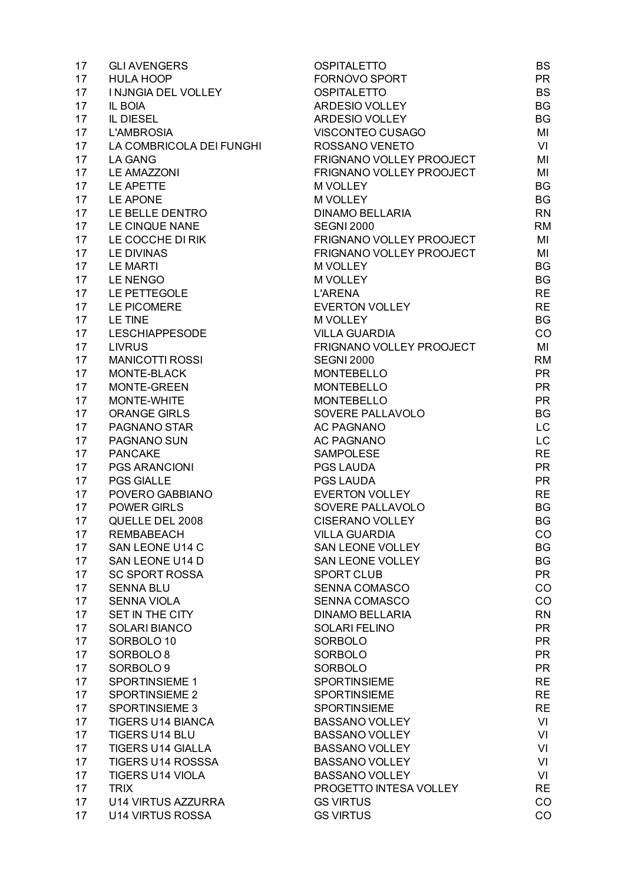| 17 | <b>GLI AVENGERS</b>       | <b>OSPITALETTO</b>       | <b>BS</b> |
|----|---------------------------|--------------------------|-----------|
| 17 | <b>HULA HOOP</b>          | FORNOVO SPORT            | <b>PR</b> |
| 17 | I NJNGIA DEL VOLLEY       | <b>OSPITALETTO</b>       | <b>BS</b> |
| 17 | IL BOIA                   | ARDESIO VOLLEY           | <b>BG</b> |
| 17 | IL DIESEL                 | ARDESIO VOLLEY           | <b>BG</b> |
| 17 | <b>L'AMBROSIA</b>         | VISCONTEO CUSAGO         | MI        |
| 17 | LA COMBRICOLA DEI FUNGHI  | ROSSANO VENETO           | VI        |
| 17 | <b>LA GANG</b>            | FRIGNANO VOLLEY PROOJECT | MI        |
| 17 | <b>LE AMAZZONI</b>        | FRIGNANO VOLLEY PROOJECT | MI        |
| 17 | LE APETTE                 | M VOLLEY                 | <b>BG</b> |
| 17 | LE APONE                  | M VOLLEY                 | <b>BG</b> |
| 17 | LE BELLE DENTRO           | <b>DINAMO BELLARIA</b>   | <b>RN</b> |
| 17 | LE CINQUE NANE            | <b>SEGNI 2000</b>        | <b>RM</b> |
| 17 | LE COCCHE DI RIK          | FRIGNANO VOLLEY PROOJECT | MI        |
| 17 | <b>LE DIVINAS</b>         | FRIGNANO VOLLEY PROOJECT | MI        |
| 17 | <b>LE MARTI</b>           | <b>M VOLLEY</b>          | <b>BG</b> |
|    | LE NENGO                  |                          | <b>BG</b> |
| 17 |                           | <b>M VOLLEY</b>          |           |
| 17 | LE PETTEGOLE              | <b>L'ARENA</b>           | <b>RE</b> |
| 17 | LE PICOMERE               | <b>EVERTON VOLLEY</b>    | <b>RE</b> |
| 17 | <b>LE TINE</b>            | <b>M VOLLEY</b>          | <b>BG</b> |
| 17 | <b>LESCHIAPPESODE</b>     | <b>VILLA GUARDIA</b>     | CO        |
| 17 | <b>LIVRUS</b>             | FRIGNANO VOLLEY PROOJECT | MI        |
| 17 | <b>MANICOTTI ROSSI</b>    | <b>SEGNI 2000</b>        | <b>RM</b> |
| 17 | MONTE-BLACK               | <b>MONTEBELLO</b>        | <b>PR</b> |
| 17 | MONTE-GREEN               | <b>MONTEBELLO</b>        | <b>PR</b> |
| 17 | MONTE-WHITE               | <b>MONTEBELLO</b>        | <b>PR</b> |
| 17 | <b>ORANGE GIRLS</b>       | SOVERE PALLAVOLO         | <b>BG</b> |
| 17 | PAGNANO STAR              | <b>AC PAGNANO</b>        | LC        |
| 17 | PAGNANO SUN               | <b>AC PAGNANO</b>        | LC        |
| 17 | <b>PANCAKE</b>            | <b>SAMPOLESE</b>         | <b>RE</b> |
| 17 | PGS ARANCIONI             | PGS LAUDA                | <b>PR</b> |
| 17 | <b>PGS GIALLE</b>         | PGS LAUDA                | <b>PR</b> |
| 17 | POVERO GABBIANO           | <b>EVERTON VOLLEY</b>    | <b>RE</b> |
| 17 | <b>POWER GIRLS</b>        | SOVERE PALLAVOLO         | BG        |
| 17 | QUELLE DEL 2008           | <b>CISERANO VOLLEY</b>   | BG        |
| 17 | <b>REMBABEACH</b>         | <b>VILLA GUARDIA</b>     | CO        |
| 17 | SAN LEONE U14 C           | <b>SAN LEONE VOLLEY</b>  | BG        |
| 17 | SAN LEONE U14 D           | <b>SAN LEONE VOLLEY</b>  | BG        |
| 17 | <b>SC SPORT ROSSA</b>     | <b>SPORT CLUB</b>        | <b>PR</b> |
| 17 | <b>SENNA BLU</b>          | <b>SENNA COMASCO</b>     | CO        |
| 17 | <b>SENNA VIOLA</b>        | <b>SENNA COMASCO</b>     | CO        |
| 17 | SET IN THE CITY           | <b>DINAMO BELLARIA</b>   | <b>RN</b> |
| 17 | <b>SOLARI BIANCO</b>      | <b>SOLARI FELINO</b>     | <b>PR</b> |
| 17 | SORBOLO 10                | <b>SORBOLO</b>           | <b>PR</b> |
| 17 | SORBOLO <sub>8</sub>      | <b>SORBOLO</b>           | <b>PR</b> |
| 17 | SORBOLO 9                 | <b>SORBOLO</b>           | <b>PR</b> |
| 17 | SPORTINSIEME 1            | SPORTINSIEME             | <b>RE</b> |
| 17 | <b>SPORTINSIEME 2</b>     | <b>SPORTINSIEME</b>      | <b>RE</b> |
| 17 | <b>SPORTINSIEME 3</b>     | <b>SPORTINSIEME</b>      | <b>RE</b> |
| 17 | <b>TIGERS U14 BIANCA</b>  | <b>BASSANO VOLLEY</b>    | VI        |
| 17 | TIGERS U14 BLU            | <b>BASSANO VOLLEY</b>    | VI        |
| 17 | <b>TIGERS U14 GIALLA</b>  | <b>BASSANO VOLLEY</b>    | VI        |
|    |                           |                          |           |
| 17 | <b>TIGERS U14 ROSSSA</b>  | <b>BASSANO VOLLEY</b>    | VI        |
| 17 | <b>TIGERS U14 VIOLA</b>   | <b>BASSANO VOLLEY</b>    | VI        |
| 17 | <b>TRIX</b>               | PROGETTO INTESA VOLLEY   | <b>RE</b> |
| 17 | <b>U14 VIRTUS AZZURRA</b> | <b>GS VIRTUS</b>         | CO        |
| 17 | <b>U14 VIRTUS ROSSA</b>   | <b>GS VIRTUS</b>         | CO        |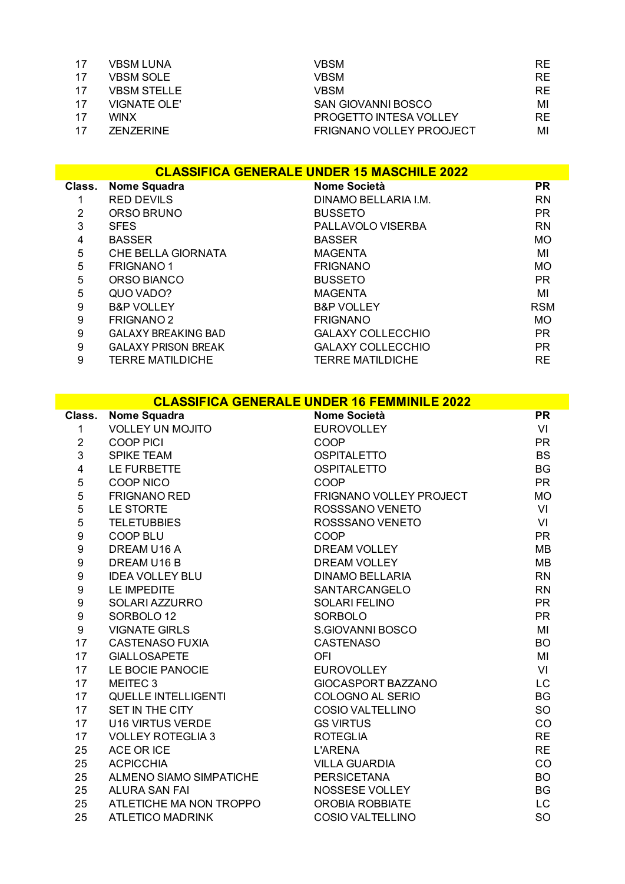| 17 | <b>VBSM LUNA</b>   | VBSM                            | RE. |
|----|--------------------|---------------------------------|-----|
| 17 | <b>VBSM SOLE</b>   | VBSM                            | RE. |
| 17 | <b>VBSM STELLE</b> | VBSM                            | RE. |
| 17 | VIGNATE OLE'       | SAN GIOVANNI BOSCO              | МI  |
| 17 | <b>WINX</b>        | PROGETTO INTESA VOLLEY          | RE. |
| 17 | <b>ZENZERINE</b>   | <b>FRIGNANO VOLLEY PROOJECT</b> | МI  |

|        | <b>CLASSIFICA GENERALE UNDER 15 MASCHILE 2022</b> |                          |            |  |
|--------|---------------------------------------------------|--------------------------|------------|--|
| Class. | <b>Nome Squadra</b>                               | Nome Società             | <b>PR</b>  |  |
|        | <b>RED DEVILS</b>                                 | DINAMO BELLARIA I.M.     | <b>RN</b>  |  |
| 2      | ORSO BRUNO                                        | <b>BUSSETO</b>           | <b>PR</b>  |  |
| 3      | <b>SFES</b>                                       | PALLAVOLO VISERBA        | <b>RN</b>  |  |
| 4      | <b>BASSER</b>                                     | <b>BASSER</b>            | MO         |  |
| 5      | CHE BELLA GIORNATA                                | <b>MAGENTA</b>           | MI         |  |
| 5      | <b>FRIGNANO1</b>                                  | <b>FRIGNANO</b>          | MO         |  |
| 5      | ORSO BIANCO                                       | <b>BUSSETO</b>           | <b>PR</b>  |  |
| 5      | QUO VADO?                                         | <b>MAGENTA</b>           | MI         |  |
| 9      | <b>B&amp;P VOLLEY</b>                             | <b>B&amp;P VOLLEY</b>    | <b>RSM</b> |  |
| 9      | <b>FRIGNANO 2</b>                                 | <b>FRIGNANO</b>          | MO         |  |
| 9      | <b>GALAXY BREAKING BAD</b>                        | <b>GALAXY COLLECCHIO</b> | <b>PR</b>  |  |
| 9      | <b>GALAXY PRISON BREAK</b>                        | <b>GALAXY COLLECCHIO</b> | <b>PR</b>  |  |
| 9      | <b>TERRE MATILDICHE</b>                           | <b>TERRE MATILDICHE</b>  | <b>RE</b>  |  |

|                  | <b>CLASSIFICA GENERALE UNDER 16 FEMMINILE 2022</b> |                                |           |  |
|------------------|----------------------------------------------------|--------------------------------|-----------|--|
| Class.           | <b>Nome Squadra</b>                                | Nome Società                   | <b>PR</b> |  |
| $\mathbf{1}$     | <b>VOLLEY UN MOJITO</b>                            | <b>EUROVOLLEY</b>              | VI        |  |
| $\overline{2}$   | <b>COOP PICI</b>                                   | COOP                           | <b>PR</b> |  |
| 3                | <b>SPIKE TEAM</b>                                  | <b>OSPITALETTO</b>             | <b>BS</b> |  |
| 4                | LE FURBETTE                                        | <b>OSPITALETTO</b>             | <b>BG</b> |  |
| 5                | <b>COOP NICO</b>                                   | COOP                           | <b>PR</b> |  |
| 5                | <b>FRIGNANO RED</b>                                | <b>FRIGNANO VOLLEY PROJECT</b> | <b>MO</b> |  |
| 5                | LE STORTE                                          | ROSSSANO VENETO                | VI        |  |
| 5                | <b>TELETUBBIES</b>                                 | ROSSSANO VENETO                | VI        |  |
| $\boldsymbol{9}$ | <b>COOP BLU</b>                                    | COOP                           | <b>PR</b> |  |
| 9                | DREAM U16 A                                        | <b>DREAM VOLLEY</b>            | <b>MB</b> |  |
| 9                | DREAM U16 B                                        | <b>DREAM VOLLEY</b>            | <b>MB</b> |  |
| $\boldsymbol{9}$ | <b>IDEA VOLLEY BLU</b>                             | <b>DINAMO BELLARIA</b>         | <b>RN</b> |  |
| 9                | <b>LE IMPEDITE</b>                                 | SANTARCANGELO                  | <b>RN</b> |  |
| $\boldsymbol{9}$ | SOLARI AZZURRO                                     | <b>SOLARI FELINO</b>           | <b>PR</b> |  |
| 9                | SORBOLO <sub>12</sub>                              | <b>SORBOLO</b>                 | <b>PR</b> |  |
| 9                | <b>VIGNATE GIRLS</b>                               | S.GIOVANNI BOSCO               | MI        |  |
| 17               | <b>CASTENASO FUXIA</b>                             | <b>CASTENASO</b>               | <b>BO</b> |  |
| 17               | <b>GIALLOSAPETE</b>                                | <b>OFI</b>                     | MI        |  |
| 17               | LE BOCIE PANOCIE                                   | <b>EUROVOLLEY</b>              | VI        |  |
| 17               | MEITEC 3                                           | <b>GIOCASPORT BAZZANO</b>      | LC        |  |
| 17               | <b>QUELLE INTELLIGENTI</b>                         | COLOGNO AL SERIO               | <b>BG</b> |  |
| 17               | SET IN THE CITY                                    | <b>COSIO VALTELLINO</b>        | SO        |  |
| 17               | U16 VIRTUS VERDE                                   | <b>GS VIRTUS</b>               | CO        |  |
| 17               | <b>VOLLEY ROTEGLIA 3</b>                           | <b>ROTEGLIA</b>                | <b>RE</b> |  |
| 25               | ACE OR ICE                                         | <b>L'ARENA</b>                 | <b>RE</b> |  |
| 25               | <b>ACPICCHIA</b>                                   | <b>VILLA GUARDIA</b>           | CO        |  |
| 25               | ALMENO SIAMO SIMPATICHE                            | <b>PERSICETANA</b>             | <b>BO</b> |  |
| 25               | <b>ALURA SAN FAI</b>                               | NOSSESE VOLLEY                 | <b>BG</b> |  |
| 25               | ATLETICHE MA NON TROPPO                            | <b>OROBIA ROBBIATE</b>         | <b>LC</b> |  |
| 25               | <b>ATLETICO MADRINK</b>                            | <b>COSIO VALTELLINO</b>        | SO        |  |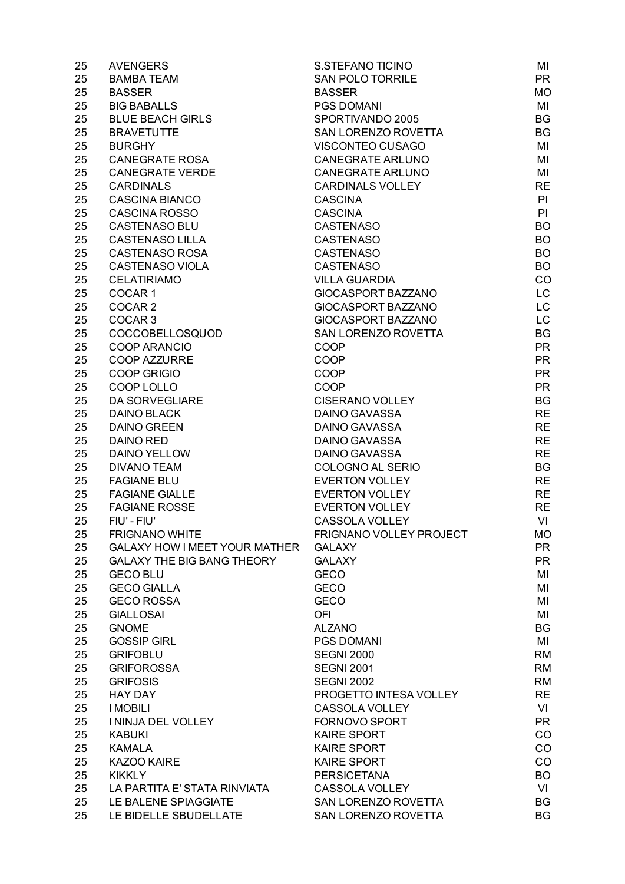| 25 | <b>AVENGERS</b>                      | S.STEFANO TICINO          | MI        |
|----|--------------------------------------|---------------------------|-----------|
| 25 | <b>BAMBA TEAM</b>                    | <b>SAN POLO TORRILE</b>   | <b>PR</b> |
| 25 | <b>BASSER</b>                        | <b>BASSER</b>             | MO        |
| 25 | <b>BIG BABALLS</b>                   | <b>PGS DOMANI</b>         | MI        |
| 25 | <b>BLUE BEACH GIRLS</b>              | SPORTIVANDO 2005          | <b>BG</b> |
| 25 | <b>BRAVETUTTE</b>                    | SAN LORENZO ROVETTA       | BG        |
| 25 | <b>BURGHY</b>                        | VISCONTEO CUSAGO          | MI        |
| 25 | <b>CANEGRATE ROSA</b>                | <b>CANEGRATE ARLUNO</b>   | MI        |
| 25 | <b>CANEGRATE VERDE</b>               | <b>CANEGRATE ARLUNO</b>   | MI        |
| 25 | <b>CARDINALS</b>                     | <b>CARDINALS VOLLEY</b>   | <b>RE</b> |
| 25 | <b>CASCINA BIANCO</b>                | <b>CASCINA</b>            | PI        |
| 25 | <b>CASCINA ROSSO</b>                 | <b>CASCINA</b>            | PI        |
| 25 | <b>CASTENASO BLU</b>                 | CASTENASO                 | <b>BO</b> |
| 25 | <b>CASTENASO LILLA</b>               | <b>CASTENASO</b>          | <b>BO</b> |
| 25 | <b>CASTENASO ROSA</b>                | <b>CASTENASO</b>          | <b>BO</b> |
|    | <b>CASTENASO VIOLA</b>               | <b>CASTENASO</b>          | <b>BO</b> |
| 25 |                                      |                           |           |
| 25 | <b>CELATIRIAMO</b>                   | <b>VILLA GUARDIA</b>      | CO        |
| 25 | COCAR <sub>1</sub>                   | GIOCASPORT BAZZANO        | LC.       |
| 25 | COCAR <sub>2</sub>                   | <b>GIOCASPORT BAZZANO</b> | LC        |
| 25 | COCAR <sub>3</sub>                   | <b>GIOCASPORT BAZZANO</b> | LC        |
| 25 | COCCOBELLOSQUOD                      | SAN LORENZO ROVETTA       | <b>BG</b> |
| 25 | <b>COOP ARANCIO</b>                  | COOP                      | <b>PR</b> |
| 25 | <b>COOP AZZURRE</b>                  | COOP                      | <b>PR</b> |
| 25 | <b>COOP GRIGIO</b>                   | COOP                      | <b>PR</b> |
| 25 | COOP LOLLO                           | COOP                      | <b>PR</b> |
| 25 | <b>DA SORVEGLIARE</b>                | <b>CISERANO VOLLEY</b>    | BG        |
| 25 | <b>DAINO BLACK</b>                   | <b>DAINO GAVASSA</b>      | <b>RE</b> |
| 25 | <b>DAINO GREEN</b>                   | <b>DAINO GAVASSA</b>      | <b>RE</b> |
| 25 | <b>DAINO RED</b>                     | <b>DAINO GAVASSA</b>      | <b>RE</b> |
| 25 | <b>DAINO YELLOW</b>                  | <b>DAINO GAVASSA</b>      | <b>RE</b> |
| 25 | <b>DIVANO TEAM</b>                   | COLOGNO AL SERIO          | <b>BG</b> |
| 25 | <b>FAGIANE BLU</b>                   | EVERTON VOLLEY            | <b>RE</b> |
| 25 | <b>FAGIANE GIALLE</b>                | <b>EVERTON VOLLEY</b>     | <b>RE</b> |
| 25 | <b>FAGIANE ROSSE</b>                 | <b>EVERTON VOLLEY</b>     | <b>RE</b> |
| 25 | FIU' - FIU'                          | CASSOLA VOLLEY            | VI        |
| 25 | <b>FRIGNANO WHITE</b>                | FRIGNANO VOLLEY PROJECT   | <b>MO</b> |
| 25 | <b>GALAXY HOW I MEET YOUR MATHER</b> | <b>GALAXY</b>             | <b>PR</b> |
| 25 | <b>GALAXY THE BIG BANG THEORY</b>    | <b>GALAXY</b>             | <b>PR</b> |
| 25 | <b>GECO BLU</b>                      | <b>GECO</b>               | MI        |
| 25 | <b>GECO GIALLA</b>                   | <b>GECO</b>               | MI        |
| 25 | <b>GECO ROSSA</b>                    | <b>GECO</b>               | MI        |
| 25 | <b>GIALLOSAI</b>                     | OFI                       | MI        |
| 25 | <b>GNOME</b>                         | <b>ALZANO</b>             | <b>BG</b> |
| 25 | <b>GOSSIP GIRL</b>                   | <b>PGS DOMANI</b>         | MI        |
| 25 | <b>GRIFOBLU</b>                      | <b>SEGNI 2000</b>         | <b>RM</b> |
|    |                                      |                           | <b>RM</b> |
| 25 | <b>GRIFOROSSA</b>                    | <b>SEGNI 2001</b>         |           |
| 25 | <b>GRIFOSIS</b>                      | <b>SEGNI 2002</b>         | <b>RM</b> |
| 25 | <b>HAY DAY</b>                       | PROGETTO INTESA VOLLEY    | <b>RE</b> |
| 25 | <b>I MOBILI</b>                      | CASSOLA VOLLEY            | VI        |
| 25 | I NINJA DEL VOLLEY                   | FORNOVO SPORT             | <b>PR</b> |
| 25 | <b>KABUKI</b>                        | <b>KAIRE SPORT</b>        | CO        |
| 25 | <b>KAMALA</b>                        | <b>KAIRE SPORT</b>        | CO        |
| 25 | KAZOO KAIRE                          | <b>KAIRE SPORT</b>        | CO        |
| 25 | <b>KIKKLY</b>                        | <b>PERSICETANA</b>        | <b>BO</b> |
| 25 | LA PARTITA E' STATA RINVIATA         | CASSOLA VOLLEY            | VI        |
| 25 | LE BALENE SPIAGGIATE                 | SAN LORENZO ROVETTA       | <b>BG</b> |
| 25 | LE BIDELLE SBUDELLATE                | SAN LORENZO ROVETTA       | <b>BG</b> |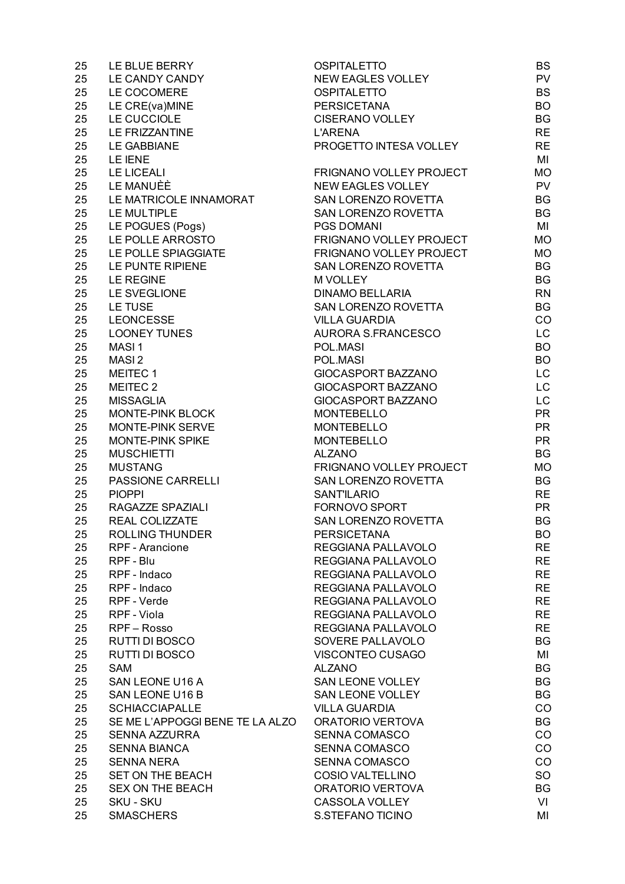| 25 | LE BLUE BERRY                   | <b>OSPITALETTO</b>       | <b>BS</b> |
|----|---------------------------------|--------------------------|-----------|
| 25 | LE CANDY CANDY                  | <b>NEW EAGLES VOLLEY</b> | <b>PV</b> |
| 25 | LE COCOMERE                     | <b>OSPITALETTO</b>       | <b>BS</b> |
| 25 | LE CRE(va)MINE                  | <b>PERSICETANA</b>       | <b>BO</b> |
| 25 | LE CUCCIOLE                     | <b>CISERANO VOLLEY</b>   | <b>BG</b> |
| 25 | <b>LE FRIZZANTINE</b>           | <b>L'ARENA</b>           | <b>RE</b> |
| 25 | <b>LE GABBIANE</b>              | PROGETTO INTESA VOLLEY   | <b>RE</b> |
| 25 | LE IENE                         |                          | MI        |
| 25 | <b>LE LICEALI</b>               | FRIGNANO VOLLEY PROJECT  | <b>MO</b> |
| 25 | <b>LE MANUÈÈ</b>                | <b>NEW EAGLES VOLLEY</b> | <b>PV</b> |
| 25 | LE MATRICOLE INNAMORAT          | SAN LORENZO ROVETTA      | <b>BG</b> |
| 25 | LE MULTIPLE                     | SAN LORENZO ROVETTA      | <b>BG</b> |
| 25 | LE POGUES (Pogs)                | <b>PGS DOMANI</b>        | MI        |
| 25 | LE POLLE ARROSTO                | FRIGNANO VOLLEY PROJECT  | <b>MO</b> |
| 25 | LE POLLE SPIAGGIATE             | FRIGNANO VOLLEY PROJECT  | <b>MO</b> |
|    | LE PUNTE RIPIENE                | SAN LORENZO ROVETTA      | <b>BG</b> |
| 25 |                                 |                          |           |
| 25 | <b>LE REGINE</b>                | M VOLLEY                 | <b>BG</b> |
| 25 | LE SVEGLIONE                    | <b>DINAMO BELLARIA</b>   | <b>RN</b> |
| 25 | LE TUSE                         | SAN LORENZO ROVETTA      | <b>BG</b> |
| 25 | <b>LEONCESSE</b>                | <b>VILLA GUARDIA</b>     | CO        |
| 25 | <b>LOONEY TUNES</b>             | AURORA S.FRANCESCO       | LC        |
| 25 | MASI <sub>1</sub>               | POL.MASI                 | <b>BO</b> |
| 25 | MASI <sub>2</sub>               | POL.MASI                 | <b>BO</b> |
| 25 | MEITEC 1                        | GIOCASPORT BAZZANO       | LC        |
| 25 | MEITEC 2                        | GIOCASPORT BAZZANO       | LC        |
| 25 | <b>MISSAGLIA</b>                | GIOCASPORT BAZZANO       | LC        |
| 25 | MONTE-PINK BLOCK                | <b>MONTEBELLO</b>        | <b>PR</b> |
| 25 | MONTE-PINK SERVE                | <b>MONTEBELLO</b>        | <b>PR</b> |
| 25 | MONTE-PINK SPIKE                | <b>MONTEBELLO</b>        | <b>PR</b> |
| 25 | <b>MUSCHIETTI</b>               | <b>ALZANO</b>            | <b>BG</b> |
| 25 | <b>MUSTANG</b>                  | FRIGNANO VOLLEY PROJECT  | <b>MO</b> |
| 25 | PASSIONE CARRELLI               | SAN LORENZO ROVETTA      | <b>BG</b> |
| 25 | <b>PIOPPI</b>                   | <b>SANT'ILARIO</b>       | <b>RE</b> |
| 25 | RAGAZZE SPAZIALI                | FORNOVO SPORT            | <b>PR</b> |
| 25 | REAL COLIZZATE                  | SAN LORENZO ROVETTA      | <b>BG</b> |
| 25 | <b>ROLLING THUNDER</b>          | <b>PERSICETANA</b>       | <b>BO</b> |
| 25 | <b>RPF</b> - Arancione          | REGGIANA PALLAVOLO       | <b>RE</b> |
| 25 | RPF - Blu                       | REGGIANA PALLAVOLO       | <b>RE</b> |
| 25 | RPF - Indaco                    | REGGIANA PALLAVOLO       | <b>RE</b> |
| 25 | RPF - Indaco                    | REGGIANA PALLAVOLO       | <b>RE</b> |
| 25 | RPF - Verde                     | REGGIANA PALLAVOLO       | <b>RE</b> |
| 25 | RPF - Viola                     | REGGIANA PALLAVOLO       | <b>RE</b> |
| 25 | RPF - Rosso                     | REGGIANA PALLAVOLO       | <b>RE</b> |
| 25 | RUTTI DI BOSCO                  | SOVERE PALLAVOLO         | BG        |
| 25 | RUTTI DI BOSCO                  | VISCONTEO CUSAGO         | MI        |
| 25 | <b>SAM</b>                      | <b>ALZANO</b>            | BG        |
| 25 |                                 | <b>SAN LEONE VOLLEY</b>  | BG        |
|    | SAN LEONE U16 A                 |                          |           |
| 25 | SAN LEONE U16 B                 | SAN LEONE VOLLEY         | BG        |
| 25 | <b>SCHIACCIAPALLE</b>           | <b>VILLA GUARDIA</b>     | CO        |
| 25 | SE ME L'APPOGGI BENE TE LA ALZO | ORATORIO VERTOVA         | BG        |
| 25 | SENNA AZZURRA                   | <b>SENNA COMASCO</b>     | CO        |
| 25 | <b>SENNA BIANCA</b>             | <b>SENNA COMASCO</b>     | CO        |
| 25 | <b>SENNA NERA</b>               | <b>SENNA COMASCO</b>     | CO        |
| 25 | <b>SET ON THE BEACH</b>         | <b>COSIO VALTELLINO</b>  | <b>SO</b> |
| 25 | <b>SEX ON THE BEACH</b>         | ORATORIO VERTOVA         | BG        |
| 25 | <b>SKU - SKU</b>                | CASSOLA VOLLEY           | VI        |
| 25 | <b>SMASCHERS</b>                | S.STEFANO TICINO         | MI        |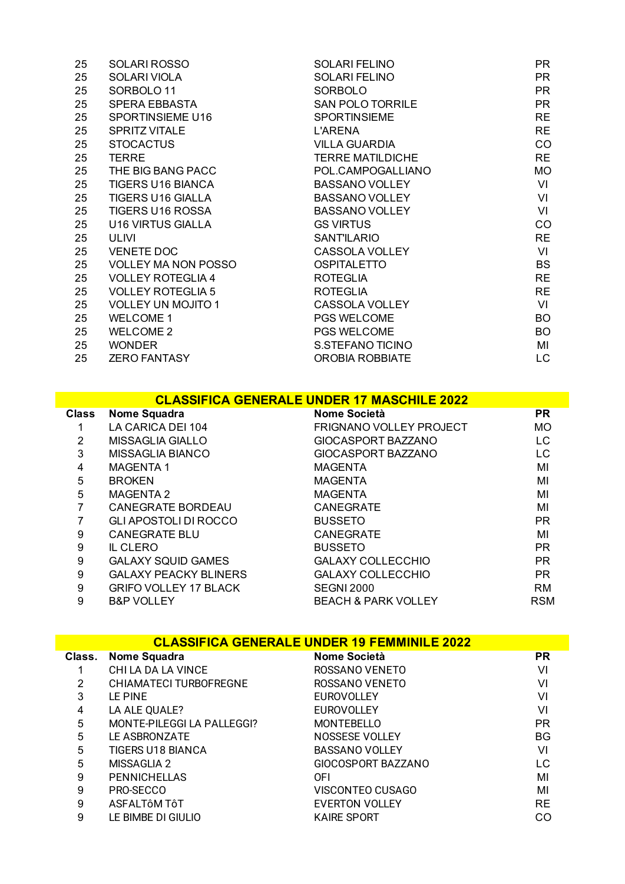| 25 | SOLARI ROSSO               | <b>SOLARI FELINO</b>    | PR.       |
|----|----------------------------|-------------------------|-----------|
| 25 | SOLARI VIOLA               | <b>SOLARI FELINO</b>    | PR.       |
| 25 | SORBOLO <sub>11</sub>      | <b>SORBOLO</b>          | <b>PR</b> |
| 25 | <b>SPERA EBBASTA</b>       | <b>SAN POLO TORRILE</b> | <b>PR</b> |
| 25 | <b>SPORTINSIEME U16</b>    | <b>SPORTINSIEME</b>     | <b>RE</b> |
| 25 | <b>SPRITZ VITALE</b>       | L'ARENA                 | <b>RE</b> |
| 25 | <b>STOCACTUS</b>           | <b>VILLA GUARDIA</b>    | CO        |
| 25 | <b>TERRE</b>               | <b>TERRE MATILDICHE</b> | <b>RE</b> |
| 25 | THE BIG BANG PACC          | POL.CAMPOGALLIANO       | <b>MO</b> |
| 25 | <b>TIGERS U16 BIANCA</b>   | <b>BASSANO VOLLEY</b>   | VI        |
| 25 | <b>TIGERS U16 GIALLA</b>   | <b>BASSANO VOLLEY</b>   | VI        |
| 25 | <b>TIGERS U16 ROSSA</b>    | <b>BASSANO VOLLEY</b>   | VI        |
| 25 | U16 VIRTUS GIALLA          | <b>GS VIRTUS</b>        | CO        |
| 25 | ULIVI                      | <b>SANT'ILARIO</b>      | <b>RE</b> |
| 25 | <b>VENETE DOC</b>          | CASSOLA VOLLEY          | VI        |
| 25 | <b>VOLLEY MA NON POSSO</b> | <b>OSPITALETTO</b>      | <b>BS</b> |
| 25 | <b>VOLLEY ROTEGLIA 4</b>   | <b>ROTEGLIA</b>         | <b>RE</b> |
| 25 | <b>VOLLEY ROTEGLIA 5</b>   | <b>ROTEGLIA</b>         | <b>RE</b> |
| 25 | <b>VOLLEY UN MOJITO 1</b>  | CASSOLA VOLLEY          | VI        |
| 25 | <b>WELCOME 1</b>           | PGS WELCOME             | BO        |
| 25 | <b>WELCOME 2</b>           | <b>PGS WELCOME</b>      | BO        |
| 25 | <b>WONDER</b>              | S.STEFANO TICINO        | MI        |
| 25 | <b>ZERO FANTASY</b>        | <b>OROBIA ROBBIATE</b>  | LC.       |

## **CLASSIFICA GENERALE UNDER 17 MASCHILE 2022**

| <b>Class</b> | <b>Nome Squadra</b>          | Nome Società                   | <b>PR</b>  |
|--------------|------------------------------|--------------------------------|------------|
|              | LA CARICA DEI 104            | <b>FRIGNANO VOLLEY PROJECT</b> | <b>MO</b>  |
| 2            | MISSAGLIA GIALLO             | GIOCASPORT BAZZANO             | LC.        |
| 3            | <b>MISSAGLIA BIANCO</b>      | GIOCASPORT BAZZANO             | LC         |
| 4            | <b>MAGENTA1</b>              | <b>MAGENTA</b>                 | MI         |
| 5            | <b>BROKEN</b>                | <b>MAGENTA</b>                 | MI         |
| 5            | <b>MAGENTA 2</b>             | <b>MAGENTA</b>                 | MI         |
|              | <b>CANEGRATE BORDEAU</b>     | <b>CANEGRATE</b>               | MI         |
|              | <b>GLI APOSTOLI DI ROCCO</b> | <b>BUSSETO</b>                 | <b>PR</b>  |
| 9            | <b>CANEGRATE BLU</b>         | <b>CANEGRATE</b>               | MI         |
| 9            | <b>IL CLERO</b>              | <b>BUSSETO</b>                 | <b>PR</b>  |
| 9            | <b>GALAXY SQUID GAMES</b>    | <b>GALAXY COLLECCHIO</b>       | <b>PR</b>  |
| 9            | <b>GALAXY PEACKY BLINERS</b> | <b>GALAXY COLLECCHIO</b>       | <b>PR</b>  |
| 9            | <b>GRIFO VOLLEY 17 BLACK</b> | <b>SEGNI 2000</b>              | <b>RM</b>  |
| 9            | <b>B&amp;P VOLLEY</b>        | <b>BEACH &amp; PARK VOLLEY</b> | <b>RSM</b> |

| <b>CLASSIFICA GENERALE UNDER 19 FEMMINILE 2022</b> |                            |                       |           |
|----------------------------------------------------|----------------------------|-----------------------|-----------|
| Class.                                             | Nome Squadra               | Nome Società          | <b>PR</b> |
|                                                    | CHI LA DA LA VINCE         | ROSSANO VENETO        | VI        |
| 2                                                  | CHIAMATECI TURBOFREGNE     | ROSSANO VENETO        | VI        |
| 3                                                  | LE PINE                    | <b>EUROVOLLEY</b>     | VI        |
| 4                                                  | LA ALE QUALE?              | <b>EUROVOLLEY</b>     | VI        |
| 5                                                  | MONTE-PILEGGI LA PALLEGGI? | <b>MONTEBELLO</b>     | <b>PR</b> |
| 5                                                  | LE ASBRONZATE              | NOSSESE VOLLEY        | <b>BG</b> |
| 5                                                  | TIGERS U18 BIANCA          | <b>BASSANO VOLLEY</b> | VI        |
| 5                                                  | MISSAGLIA 2                | GIOCOSPORT BAZZANO    | LC.       |
| 9                                                  | <b>PENNICHELLAS</b>        | OFI                   | MI        |
| 9                                                  | PRO-SECCO                  | VISCONTEO CUSAGO      | MI        |
| 9                                                  | ASFALTÔM TÔT               | <b>EVERTON VOLLEY</b> | <b>RE</b> |
| 9                                                  | LE BIMBE DI GIULIO         | <b>KAIRE SPORT</b>    | CO        |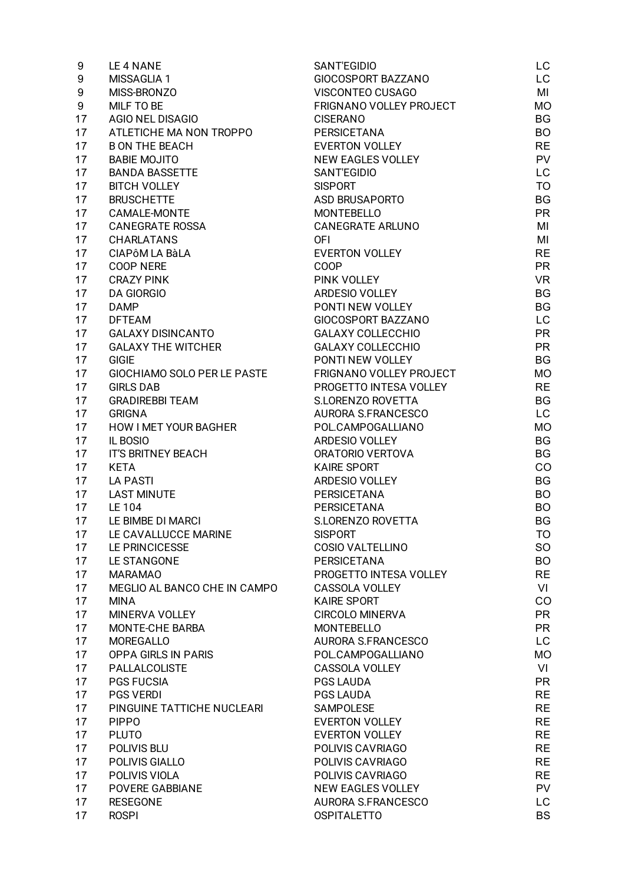| 9                | LE 4 NANE                    | SANT'EGIDIO               | LC        |
|------------------|------------------------------|---------------------------|-----------|
| 9                | MISSAGLIA 1                  | GIOCOSPORT BAZZANO        | LC        |
| $\boldsymbol{9}$ | MISS-BRONZO                  | VISCONTEO CUSAGO          | MI        |
| 9                | MILF TO BE                   | FRIGNANO VOLLEY PROJECT   | <b>MO</b> |
| 17               | <b>AGIO NEL DISAGIO</b>      | <b>CISERANO</b>           | <b>BG</b> |
| 17               | ATLETICHE MA NON TROPPO      | PERSICETANA               | <b>BO</b> |
| 17               | <b>B ON THE BEACH</b>        | <b>EVERTON VOLLEY</b>     | <b>RE</b> |
| 17               | <b>BABIE MOJITO</b>          | <b>NEW EAGLES VOLLEY</b>  | <b>PV</b> |
| 17               | <b>BANDA BASSETTE</b>        | SANT'EGIDIO               | LC        |
| 17               | <b>BITCH VOLLEY</b>          | <b>SISPORT</b>            | TO        |
| 17               | <b>BRUSCHETTE</b>            | ASD BRUSAPORTO            | <b>BG</b> |
| 17               | CAMALE-MONTE                 | <b>MONTEBELLO</b>         | <b>PR</b> |
| 17               | <b>CANEGRATE ROSSA</b>       | <b>CANEGRATE ARLUNO</b>   | MI        |
| 17               | <b>CHARLATANS</b>            | <b>OFI</b>                | MI        |
| 17               | CIAPÔM LA BÀLA               | <b>EVERTON VOLLEY</b>     | <b>RE</b> |
| 17               | COOP NERE                    | <b>COOP</b>               | <b>PR</b> |
| 17               | <b>CRAZY PINK</b>            | PINK VOLLEY               | <b>VR</b> |
| 17               | <b>DA GIORGIO</b>            | ARDESIO VOLLEY            | <b>BG</b> |
| 17               | <b>DAMP</b>                  | PONTI NEW VOLLEY          | <b>BG</b> |
| 17               | <b>DFTEAM</b>                | GIOCOSPORT BAZZANO        | LC        |
| 17               | <b>GALAXY DISINCANTO</b>     | <b>GALAXY COLLECCHIO</b>  | <b>PR</b> |
| 17               | <b>GALAXY THE WITCHER</b>    | <b>GALAXY COLLECCHIO</b>  | <b>PR</b> |
| 17               | <b>GIGIE</b>                 | PONTI NEW VOLLEY          | <b>BG</b> |
| 17               | GIOCHIAMO SOLO PER LE PASTE  | FRIGNANO VOLLEY PROJECT   | <b>MO</b> |
|                  |                              | PROGETTO INTESA VOLLEY    | <b>RE</b> |
| 17               | <b>GIRLS DAB</b>             |                           |           |
| 17               | <b>GRADIREBBI TEAM</b>       | S.LORENZO ROVETTA         | BG        |
| 17               | <b>GRIGNA</b>                | AURORA S.FRANCESCO        | LC        |
| 17               | <b>HOW I MET YOUR BAGHER</b> | POL.CAMPOGALLIANO         | <b>MO</b> |
| 17               | IL BOSIO                     | ARDESIO VOLLEY            | <b>BG</b> |
| 17               | <b>IT'S BRITNEY BEACH</b>    | ORATORIO VERTOVA          | <b>BG</b> |
| 17               | <b>KETA</b>                  | <b>KAIRE SPORT</b>        | CO        |
| 17               | <b>LA PASTI</b>              | ARDESIO VOLLEY            | <b>BG</b> |
| 17               | <b>LAST MINUTE</b>           | PERSICETANA               | <b>BO</b> |
| 17               | LE 104                       | PERSICETANA               | <b>BO</b> |
| 17               | LE BIMBE DI MARCI            | S.LORENZO ROVETTA         | BG        |
| 17               | LE CAVALLUCCE MARINE         | <b>SISPORT</b>            | <b>TO</b> |
| 17               | LE PRINCICESSE               | COSIO VALTELLINO          | SO.       |
| 17               | LE STANGONE                  | PERSICETANA               | <b>BO</b> |
| 17               | <b>MARAMAO</b>               | PROGETTO INTESA VOLLEY    | <b>RE</b> |
| 17               | MEGLIO AL BANCO CHE IN CAMPO | CASSOLA VOLLEY            | VI        |
| 17               | <b>MINA</b>                  | <b>KAIRE SPORT</b>        | CO        |
| 17               | MINERVA VOLLEY               | <b>CIRCOLO MINERVA</b>    | <b>PR</b> |
| 17               | MONTE-CHE BARBA              | <b>MONTEBELLO</b>         | <b>PR</b> |
| 17               | <b>MOREGALLO</b>             | <b>AURORA S.FRANCESCO</b> | LC        |
| 17               | <b>OPPA GIRLS IN PARIS</b>   | POL.CAMPOGALLIANO         | <b>MO</b> |
| 17               | <b>PALLALCOLISTE</b>         | CASSOLA VOLLEY            | VI        |
| 17               | <b>PGS FUCSIA</b>            | PGS LAUDA                 | <b>PR</b> |
| 17               | <b>PGS VERDI</b>             | PGS LAUDA                 | <b>RE</b> |
| 17               | PINGUINE TATTICHE NUCLEARI   | SAMPOLESE                 | <b>RE</b> |
| 17               | <b>PIPPO</b>                 | <b>EVERTON VOLLEY</b>     | <b>RE</b> |
| 17               | <b>PLUTO</b>                 | <b>EVERTON VOLLEY</b>     | <b>RE</b> |
| 17               | POLIVIS BLU                  | POLIVIS CAVRIAGO          | <b>RE</b> |
| 17               | POLIVIS GIALLO               | POLIVIS CAVRIAGO          | <b>RE</b> |
| 17               | POLIVIS VIOLA                | POLIVIS CAVRIAGO          | <b>RE</b> |
| 17               | POVERE GABBIANE              | NEW EAGLES VOLLEY         | <b>PV</b> |
| 17               | <b>RESEGONE</b>              | AURORA S.FRANCESCO        | <b>LC</b> |
| 17               | <b>ROSPI</b>                 | <b>OSPITALETTO</b>        | <b>BS</b> |
|                  |                              |                           |           |